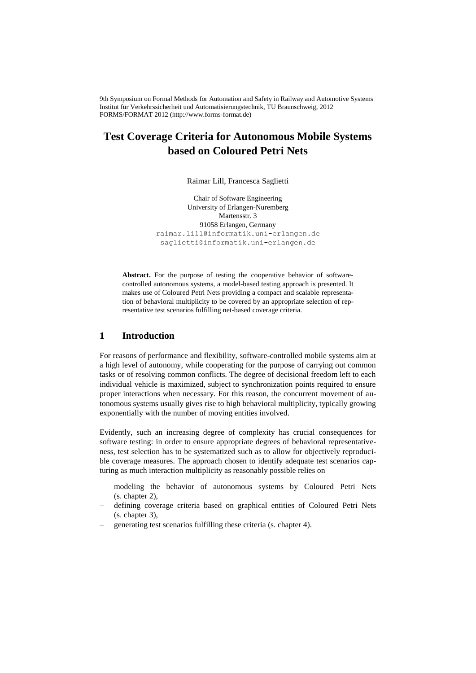9th Symposium on Formal Methods for Automation and Safety in Railway and Automotive Systems Institut für Verkehrssicherheit und Automatisierungstechnik, TU Braunschweig, 2012 FORMS/FORMAT 2012 (http://www.forms-format.de)

# **Test Coverage Criteria for Autonomous Mobile Systems based on Coloured Petri Nets**

Raimar Lill, Francesca Saglietti

Chair of Software Engineering University of Erlangen-Nuremberg Martensstr. 3 91058 Erlangen, Germany raimar.lill@informatik.uni-erlangen.de saglietti@informatik.uni-erlangen.de

Abstract. For the purpose of testing the cooperative behavior of softwarecontrolled autonomous systems, a model-based testing approach is presented. It makes use of Coloured Petri Nets providing a compact and scalable representation of behavioral multiplicity to be covered by an appropriate selection of representative test scenarios fulfilling net-based coverage criteria.

#### **1 Introduction**

For reasons of performance and flexibility, software-controlled mobile systems aim at a high level of autonomy, while cooperating for the purpose of carrying out common tasks or of resolving common conflicts. The degree of decisional freedom left to each individual vehicle is maximized, subject to synchronization points required to ensure proper interactions when necessary. For this reason, the concurrent movement of autonomous systems usually gives rise to high behavioral multiplicity, typically growing exponentially with the number of moving entities involved.

Evidently, such an increasing degree of complexity has crucial consequences for software testing: in order to ensure appropriate degrees of behavioral representativeness, test selection has to be systematized such as to allow for objectively reproducible coverage measures. The approach chosen to identify adequate test scenarios capturing as much interaction multiplicity as reasonably possible relies on

- modeling the behavior of autonomous systems by Coloured Petri Nets (s. chapter 2),
- defining coverage criteria based on graphical entities of Coloured Petri Nets (s. chapter 3),
- generating test scenarios fulfilling these criteria (s. chapter 4).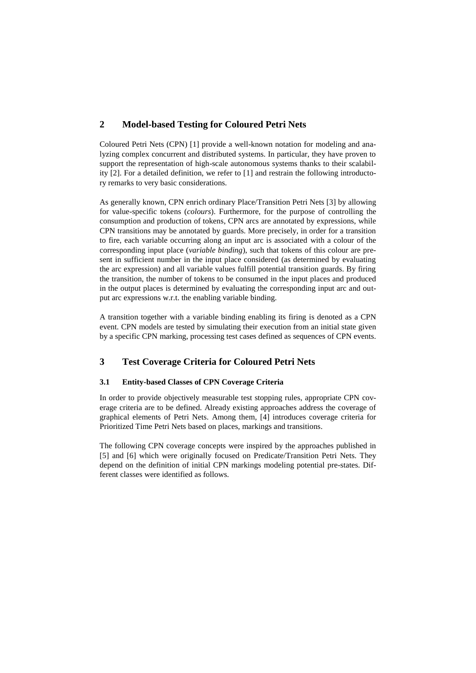# **2 Model-based Testing for Coloured Petri Nets**

Coloured Petri Nets (CPN) [1] provide a well-known notation for modeling and analyzing complex concurrent and distributed systems. In particular, they have proven to support the representation of high-scale autonomous systems thanks to their scalability [2]. For a detailed definition, we refer to [1] and restrain the following introductory remarks to very basic considerations.

As generally known, CPN enrich ordinary Place/Transition Petri Nets [3] by allowing for value-specific tokens (*colours*). Furthermore, for the purpose of controlling the consumption and production of tokens, CPN arcs are annotated by expressions, while CPN transitions may be annotated by guards. More precisely, in order for a transition to fire, each variable occurring along an input arc is associated with a colour of the corresponding input place (*variable binding*), such that tokens of this colour are present in sufficient number in the input place considered (as determined by evaluating the arc expression) and all variable values fulfill potential transition guards. By firing the transition, the number of tokens to be consumed in the input places and produced in the output places is determined by evaluating the corresponding input arc and output arc expressions w.r.t. the enabling variable binding.

A transition together with a variable binding enabling its firing is denoted as a CPN event. CPN models are tested by simulating their execution from an initial state given by a specific CPN marking, processing test cases defined as sequences of CPN events.

# **3 Test Coverage Criteria for Coloured Petri Nets**

### **3.1 Entity-based Classes of CPN Coverage Criteria**

In order to provide objectively measurable test stopping rules, appropriate CPN coverage criteria are to be defined. Already existing approaches address the coverage of graphical elements of Petri Nets. Among them, [4] introduces coverage criteria for Prioritized Time Petri Nets based on places, markings and transitions.

The following CPN coverage concepts were inspired by the approaches published in [5] and [6] which were originally focused on Predicate/Transition Petri Nets. They depend on the definition of initial CPN markings modeling potential pre-states. Different classes were identified as follows.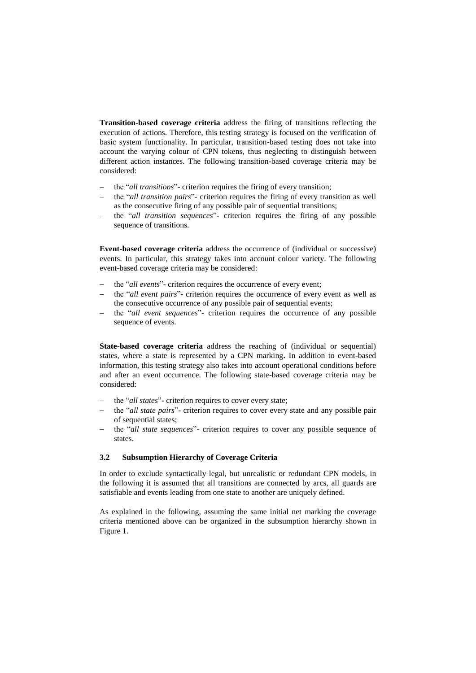**Transition-based coverage criteria** address the firing of transitions reflecting the execution of actions. Therefore, this testing strategy is focused on the verification of basic system functionality. In particular, transition-based testing does not take into account the varying colour of CPN tokens, thus neglecting to distinguish between different action instances. The following transition-based coverage criteria may be considered:

- the "*all transitions*"- criterion requires the firing of every transition;
- the "*all transition pairs*"- criterion requires the firing of every transition as well as the consecutive firing of any possible pair of sequential transitions;
- the "*all transition sequences*"- criterion requires the firing of any possible sequence of transitions.

**Event-based coverage criteria** address the occurrence of (individual or successive) events. In particular, this strategy takes into account colour variety. The following event-based coverage criteria may be considered:

- the "*all events*"- criterion requires the occurrence of every event;
- the "*all event pairs*"- criterion requires the occurrence of every event as well as the consecutive occurrence of any possible pair of sequential events;
- the "*all event sequences*"- criterion requires the occurrence of any possible sequence of events.

**State-based coverage criteria** address the reaching of (individual or sequential) states, where a state is represented by a CPN marking**.** In addition to event-based information, this testing strategy also takes into account operational conditions before and after an event occurrence. The following state-based coverage criteria may be considered:

- the "*all states*"- criterion requires to cover every state;
- the "*all state pairs*"- criterion requires to cover every state and any possible pair of sequential states;
- the "*all state sequences*"- criterion requires to cover any possible sequence of states.

#### **3.2 Subsumption Hierarchy of Coverage Criteria**

In order to exclude syntactically legal, but unrealistic or redundant CPN models, in the following it is assumed that all transitions are connected by arcs, all guards are satisfiable and events leading from one state to another are uniquely defined.

As explained in the following, assuming the same initial net marking the coverage criteria mentioned above can be organized in the subsumption hierarchy shown in Figure 1.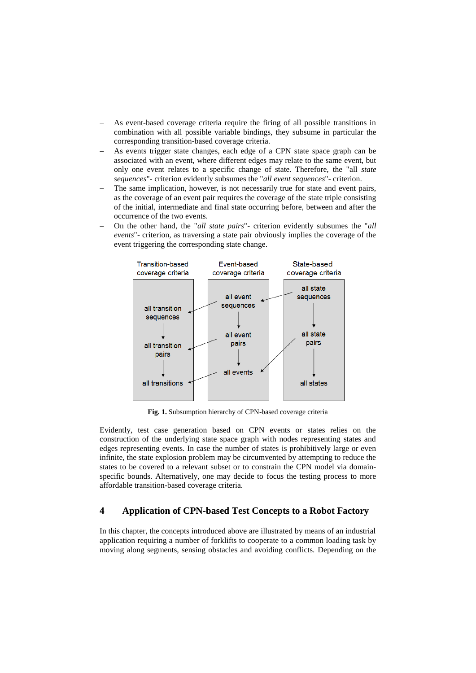- As event-based coverage criteria require the firing of all possible transitions in combination with all possible variable bindings, they subsume in particular the corresponding transition-based coverage criteria.
- As events trigger state changes, each edge of a CPN state space graph can be associated with an event, where different edges may relate to the same event, but only one event relates to a specific change of state. Therefore, the "all *state sequences*"- criterion evidently subsumes the "*all event sequences*"- criterion.
- The same implication, however, is not necessarily true for state and event pairs, as the coverage of an event pair requires the coverage of the state triple consisting of the initial, intermediate and final state occurring before, between and after the occurrence of the two events.
- On the other hand, the "*all state pairs*"- criterion evidently subsumes the "*all events*"- criterion, as traversing a state pair obviously implies the coverage of the event triggering the corresponding state change.



**Fig. 1.** Subsumption hierarchy of CPN-based coverage criteria

Evidently, test case generation based on CPN events or states relies on the construction of the underlying state space graph with nodes representing states and edges representing events. In case the number of states is prohibitively large or even infinite, the state explosion problem may be circumvented by attempting to reduce the states to be covered to a relevant subset or to constrain the CPN model via domainspecific bounds. Alternatively, one may decide to focus the testing process to more affordable transition-based coverage criteria.

# **4 Application of CPN-based Test Concepts to a Robot Factory**

In this chapter, the concepts introduced above are illustrated by means of an industrial application requiring a number of forklifts to cooperate to a common loading task by moving along segments, sensing obstacles and avoiding conflicts. Depending on the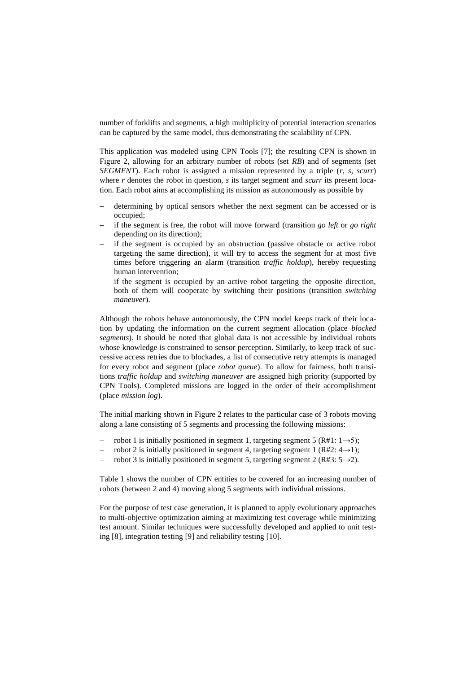number of forklifts and segments, a high multiplicity of potential interaction scenarios can be captured by the same model, thus demonstrating the scalability of CPN.

This application was modeled using CPN Tools [7]; the resulting CPN is shown in Figure 2, allowing for an arbitrary number of robots (set *RB*) and of segments (set *SEGMENT*). Each robot is assigned a mission represented by a triple (*r*, *s*, *scurr*) where *r* denotes the robot in question, *s* its target segment and *scurr* its present location. Each robot aims at accomplishing its mission as autonomously as possible by

- determining by optical sensors whether the next segment can be accessed or is occupied;
- if the segment is free, the robot will move forward (transition *go left* or *go right* depending on its direction);
- if the segment is occupied by an obstruction (passive obstacle or active robot targeting the same direction), it will try to access the segment for at most five times before triggering an alarm (transition *traffic holdup*), hereby requesting human intervention;
- if the segment is occupied by an active robot targeting the opposite direction, both of them will cooperate by switching their positions (transition *switching maneuver*).

Although the robots behave autonomously, the CPN model keeps track of their location by updating the information on the current segment allocation (place *blocked segments*). It should be noted that global data is not accessible by individual robots whose knowledge is constrained to sensor perception. Similarly, to keep track of successive access retries due to blockades, a list of consecutive retry attempts is managed for every robot and segment (place *robot queue*). To allow for fairness, both transitions *traffic holdup* and *switching maneuver* are assigned high priority (supported by CPN Tools). Completed missions are logged in the order of their accomplishment (place *mission log*).

The initial marking shown in Figure 2 relates to the particular case of 3 robots moving along a lane consisting of 5 segments and processing the following missions:

- robot 1 is initially positioned in segment 1, targeting segment 5 (R#1:  $1\rightarrow 5$ );
- robot 2 is initially positioned in segment 4, targeting segment 1 ( $R#2: 4 \rightarrow 1$ );
- robot 3 is initially positioned in segment 5, targeting segment 2 (R#3:  $5\rightarrow 2$ ).

Table 1 shows the number of CPN entities to be covered for an increasing number of robots (between 2 and 4) moving along 5 segments with individual missions.

For the purpose of test case generation, it is planned to apply evolutionary approaches to multi-objective optimization aiming at maximizing test coverage while minimizing test amount. Similar techniques were successfully developed and applied to unit testing [8], integration testing [9] and reliability testing [10].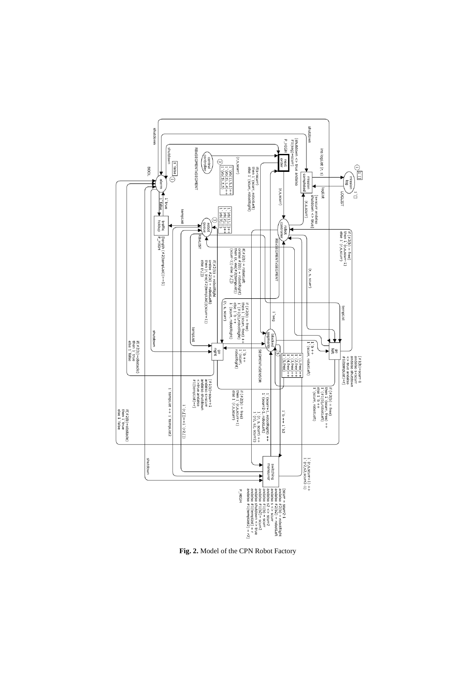

**Fig. 2.** Model of the CPN Robot Factory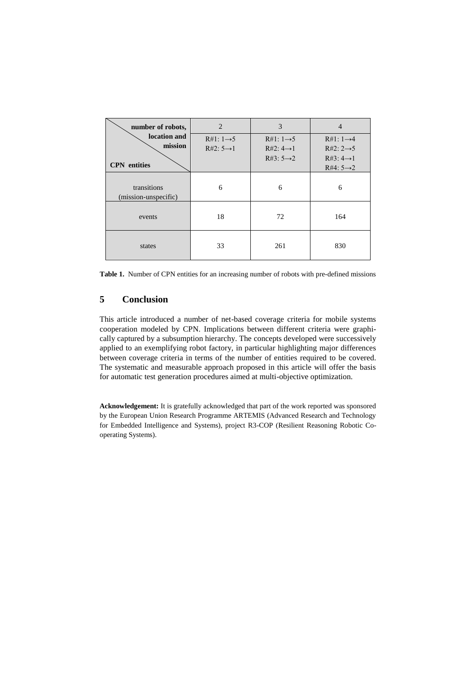| number of robots,                              | $\overline{2}$                                   | 3                                                                          | $\overline{4}$                                                             |
|------------------------------------------------|--------------------------------------------------|----------------------------------------------------------------------------|----------------------------------------------------------------------------|
| location and<br>mission<br><b>CPN</b> entities | $R#1: 1 \rightarrow 5$<br>$R#2: 5 \rightarrow 1$ | $R#1: 1 \rightarrow 5$<br>$R#2: 4 \rightarrow 1$<br>R#3: $5 \rightarrow 2$ | $R#1: 1 \rightarrow 4$<br>$R#2: 2 \rightarrow 5$<br>$R#3: 4 \rightarrow 1$ |
|                                                |                                                  |                                                                            | R#4: $5 \rightarrow 2$                                                     |
| transitions<br>(mission-unspecific)            | 6                                                | 6                                                                          | 6                                                                          |
| events                                         | 18                                               | 72                                                                         | 164                                                                        |
| states                                         | 33                                               | 261                                                                        | 830                                                                        |

**Table 1.** Number of CPN entities for an increasing number of robots with pre-defined missions

# **5 Conclusion**

This article introduced a number of net-based coverage criteria for mobile systems cooperation modeled by CPN. Implications between different criteria were graphically captured by a subsumption hierarchy. The concepts developed were successively applied to an exemplifying robot factory, in particular highlighting major differences between coverage criteria in terms of the number of entities required to be covered. The systematic and measurable approach proposed in this article will offer the basis for automatic test generation procedures aimed at multi-objective optimization.

**Acknowledgement:** It is gratefully acknowledged that part of the work reported was sponsored by the European Union Research Programme ARTEMIS (Advanced Research and Technology for Embedded Intelligence and Systems), project R3-COP (Resilient Reasoning Robotic Cooperating Systems).